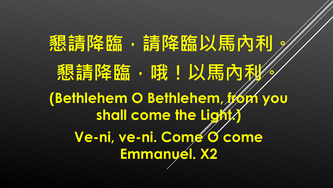懇請降臨,請降臨以馬內利 懇請降臨, 哦!以馬內利 (Bethlehem O Bethlehem, 1/6m you shall come the Light Ve-ni, ve-ni. Comé o come Emmanyél. X2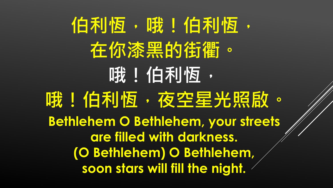**伯利恆,哦!伯利恆, 在你漆黑的街衢。 哦!伯利恆, 哦!伯利恆,夜空星光照啟。 Bethlehem O Bethlehem, your streets are filled with darkness. (O Bethlehem) O Bethlehem, soon stars will fill the night.**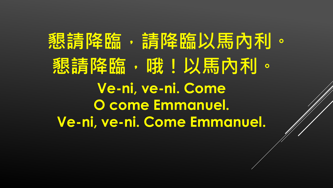**懇請降臨,請降臨以馬內利。 懇請降臨, 哦!以馬內利。 Ve-ni, ve-ni. Come O come Emmanuel. Ve-ni, ve-ni. Come Emmanuel.**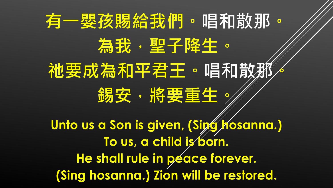#### **有一嬰孩賜給我們。唱和散那。 為我,聖子降生。 祂要成為和平君王。唱和散那。 錫安,將要重生。 Unto us a Son is given, (Sipg Hosanna.) To us, a child is born. He shall rule in peace forever. (Sing hosanna.) Zion will be restored.**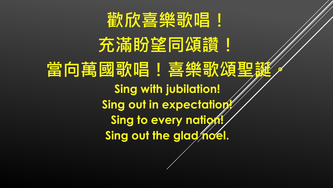

充滿盼望同頌讚! **當向萬國歌唱!喜樂歌頌聖 Sing with jubilation!**  Sing out in expectation! **Sing to every nation!** Sing out the glad noel.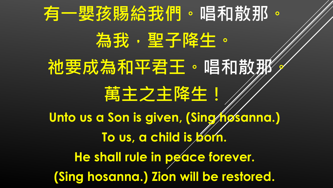# **有一嬰孩賜給我們。唱和散那。 為我,聖子降生。 祂要成為和平君王。唱和散那。 萬主之主降生! Unto us a Son is given, (Sing hosanna.)**  To us, a child is **born**. **He shall rule in peace forever. (Sing hosanna.) Zion will be restored.**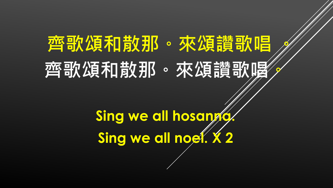### | 齊哥尔頌利| 散别 · 來頌譚萬明 齊歌頌和散那。來頌讃歌喝

Sing we all hosango Sing we all nog ... X 2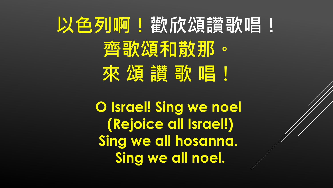# **以色列啊!戳欣頌讚歌唱! 齊歌頌和散那。 來 頌 讚 歌 唱!**

**O Israel! Sing we noel (Rejoice all Israel!) Sing we all hosanna. Sing we all noel.**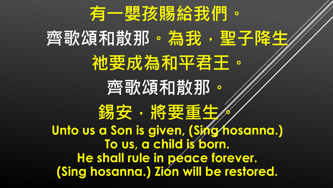

#### **齊歌頌和散那。為我,聖子降生 祂要成為和平君王。 齊歌頌和散那**。 **錫安,滑要重生/ Unto us a Son is given, (Sing/hosanna.) To us, a child is born. He shall rule in peace forever. (Sing hosanna.) Zion will be restored.**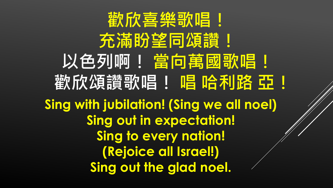**歡欣喜樂歌唱!** 充滿盼望同頌讚! **以色列啊! 當向萬國歌唱! 截欣颂讃歌唱!唱哈利路 亞! Sing with jubilation! (Sing we all noel) Sing out in expectation! Sing to every nation! (Rejoice all Israel!) Sing out the glad noel.**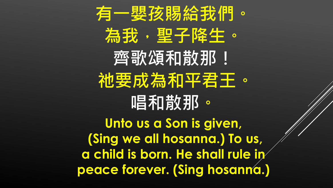